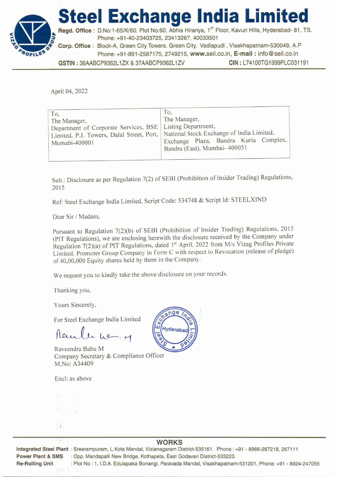



Regd. Office : D.No:1-65/K/60, Plot No:60, Abhis Hiranya, 1<sup>st</sup> Floor, Kavuri Hills, Hyderabad- 81, TS. z Phone: +91-40-23403725, 23413267, 40033501

**Corp. Office :** Block-A, Green City Towers, Green City, Vadlapudi , Visakhapatnam-530049, A.P Phone: +91-891-2587175, 2749215, www.seil.co.in, **E-mail :** info@seil.co.in **GSTIN :** 36AABCP9362L1ZX & 37AABCP9362L1ZV **CIN :** L74100TG1999PLC031191

April 04, 2022

| To,<br>The Manager,<br>Department of Corporate Services, BSE<br>Limited, P.J. Towers, Dalal Street, Port,<br>Mumabi-400001 | To.<br>The Manager,<br>Listing Department,<br>National Stock Exchange of India Limited,<br>Exchange Plaza, Bandra Kurla Complex,<br>Bandra (East), Mumbai- 400051 |
|----------------------------------------------------------------------------------------------------------------------------|-------------------------------------------------------------------------------------------------------------------------------------------------------------------|
|----------------------------------------------------------------------------------------------------------------------------|-------------------------------------------------------------------------------------------------------------------------------------------------------------------|

Sub.: Disclosure as per Regulation 7(2) of SEBI (Prohibition of Insider Trading) Regulations. 2015

Ref: Steel Exchange India Limited, Script Code: 534748 & Script Id: STEELXIND

Dear Sir / Madam,

Pursuant to Regulation 7(2)(b) of SEBI (Prohibition of Insider Trading) Regulations, 2015 (PIT Regulations), we are enclosing herewith the disclosure received by the Company under Regulation 7(2)(a) of PIT Regulations, dated 1<sup>st</sup> April, 2022 from M/s Vizag Profiles Private Limited, Promoter Group Company in Form C with respect to Revocation (release of pledge) of 40,00,000 Equity shares held by them in the Company.

We request you to kindly take the above disclosure on your records.

Thanking you,

Yours Sincerely,

For Steel Exchange India Limited

Raule he, M

Raveendra Babu M Company Secretary & Compliance Officer M.No: A34409

Encl: as above



**Integrated Steel Plant :** Sreerampuram, L.Kota Mandal, Vizianagaram District-535161. Phone : +91 - 8966-267218, 267111 **Power Plant & SMS :** Opp. Mandapalli New Bridge, Kothapeta, East Godavari District-533223. **Re-Rolling Unit :** Plot No : 1, I.D.A. Edulapaka Bonangi, Paravada Mandal, Visakhapatnam-531201, Phone: +91 - 8924-247055

## ш Hyderaba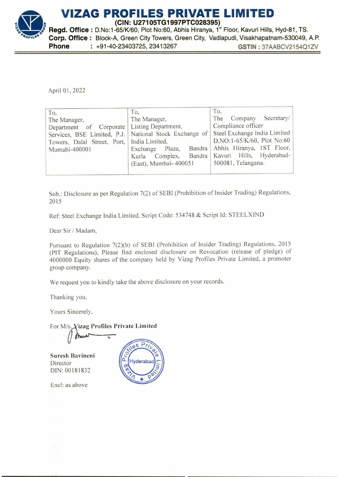

April 01, 2022

| To.<br>The Manager,<br>Department of Corporate   Listing Department,<br>Towers, Dalal Street, Port, India Limited,<br>Mumabi-400001 | To,<br>The Manager,<br>Services, BSE Limited, P.J.   National Stock Exchange of  <br>Bandra<br>Plaza,<br>Exchange<br>Complex,<br>Kurla<br>(East), Mumbai- 400051 | To,<br>The Company Secretary/<br>Compliance officer<br>Steel Exchange India Limited<br>D.NO:1-65/K/60, Plot No:60<br>Abhis Hiranya, 1ST Floor,<br>Bandra   Kavuri Hills, Hyderabad-<br>500081, Telangana. |
|-------------------------------------------------------------------------------------------------------------------------------------|------------------------------------------------------------------------------------------------------------------------------------------------------------------|-----------------------------------------------------------------------------------------------------------------------------------------------------------------------------------------------------------|
|-------------------------------------------------------------------------------------------------------------------------------------|------------------------------------------------------------------------------------------------------------------------------------------------------------------|-----------------------------------------------------------------------------------------------------------------------------------------------------------------------------------------------------------|

Sub.: Disclosure as per Regulation 7(2) of SEBI (Prohibition of Insider Trading) Regulations, 2015

Ref: Steel Exchange India Limited, Script Code: 534748 & Script Id: STEELXIND

Dear Sir / Madam,

Pursuant to Regulation 7(2)(b) of SEBI (Prohibition of Insider Trading) Regulations, 2015 (PIT Regulations), Please find enclosed disclosure on Revocation (release of pledge) of 4000000 Equity shares of the company held by Vizag Profiles Private Limited, a promoter group company.

We request you to kindly take the above disclosure on your records.

Thanking you,

Yours Sincerely,

For M/s. Vizag Profiles Private Limited

-,

Su resh Bavineni Director DIN: 00181832



Encl: as above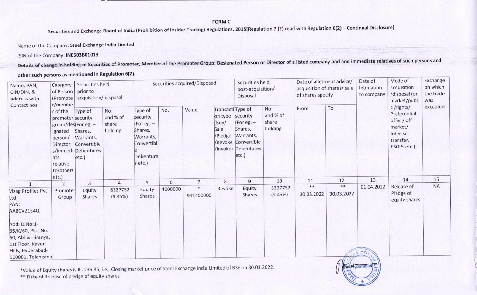**FORM C** 

**Securities and Exchange Board of India (Prohibition of Insider Trading) Regulations, 2015[Regulation 7 (2) read with Regulation 6(2) — Continual Disclosure]** 

Name of the Company: **Steel Exchange India Limited** 

**ISIN of the Company: INE5O3B01013** 

**Details of change in holding of Securities of Promoter, Member of the Promoter Group, Designated Person or Director of a listed company and and immediate relatives of such persons and** 

other such persons as mentioned in Regulation 6(2).

| Name, PAN,<br>CIN/DIN, &<br>address with<br>Contact nos.<br>ate                                                                      | Securities held<br>Category<br>prior to<br>of Person<br>acquisition/disposal<br>(Promote<br>r/membe             |                                                                                |                                     |                                                                                                 | Securities acquired/Disposed |                     |                                                          | Securities held<br>post-acquisition/<br>Disposal                                                             |                                     | Date of allotment advice/<br>acquisition of shares/ sale<br>of shares specify |                     | Date of<br>Intimation<br>to company | Mode of<br>acquisition<br>/disposal (on<br>market/publi                                     | Exchange<br>on which<br>the trade<br>was |
|--------------------------------------------------------------------------------------------------------------------------------------|-----------------------------------------------------------------------------------------------------------------|--------------------------------------------------------------------------------|-------------------------------------|-------------------------------------------------------------------------------------------------|------------------------------|---------------------|----------------------------------------------------------|--------------------------------------------------------------------------------------------------------------|-------------------------------------|-------------------------------------------------------------------------------|---------------------|-------------------------------------|---------------------------------------------------------------------------------------------|------------------------------------------|
|                                                                                                                                      | r of the<br>promoter security<br>group/des(For eg. -<br>ignated<br>person/<br>Director<br>relative<br>to/others | Type of<br>Shares,<br>Warrants,<br>Convertible<br>s/immedi Debentures<br>etc.) | No.<br>and % of<br>share<br>holding | Type of<br>security<br>(For eg. -<br>Shares,<br>Warrants,<br>Convertibl<br>Debenture<br>s etc.) | No.                          | Value               | Transacti Type of<br>on type<br>(Buy/<br>Sale<br>/Pledge | security<br>(For eg. -<br>Shares,<br>Warrants,<br><b>/Revoke Convertible</b><br>/Invoke) Debentures<br>etc.) | No.<br>and % of<br>share<br>holding | From                                                                          | To                  |                                     | c/rights/<br>Preferential<br>offer / off<br>market/<br>Inter-se<br>transfer,<br>ESOPs etc.) | executed                                 |
|                                                                                                                                      | $etc.$ )<br>2                                                                                                   | 3                                                                              | $\overline{4}$                      | 5                                                                                               | 6                            | $\overline{7}$      | 8                                                        | $\overline{9}$                                                                                               | 10                                  | 11                                                                            | 12                  | 13                                  | 14                                                                                          | 15                                       |
| 1<br>Vizag Profiles Pvt<br>Ltd<br>PAN:<br>AABCV2154Q<br>Add: D.No:1-<br>65/K/60, Plot No:<br>60, Abhis Hiranya,<br>1st Floor, Kavuri | Promoter<br>Group                                                                                               | Equity<br>Shares                                                               | 8327752<br>(9.45%)                  | Equity<br>Shares                                                                                | 4000000                      | $\ast$<br>941400000 | Revoke                                                   | Equity<br>Shares                                                                                             | 8327752<br>(9.45%)                  | **<br>30.03.2022                                                              | $***$<br>30.03.2022 | 01.04.2022                          | Release of<br>Pledge of<br>equity shares                                                    | <b>NA</b>                                |
| Hills, Hyderabad-<br>500081, Telangana                                                                                               |                                                                                                                 |                                                                                |                                     |                                                                                                 |                              |                     |                                                          |                                                                                                              |                                     |                                                                               |                     |                                     |                                                                                             |                                          |

\*Value of Equity shares is Rs.235.35, i.e., Closing market price of Steel Exchange India Limited of BSE on 30.03.2022.

\*\* Date of Release of pledge of equity shares